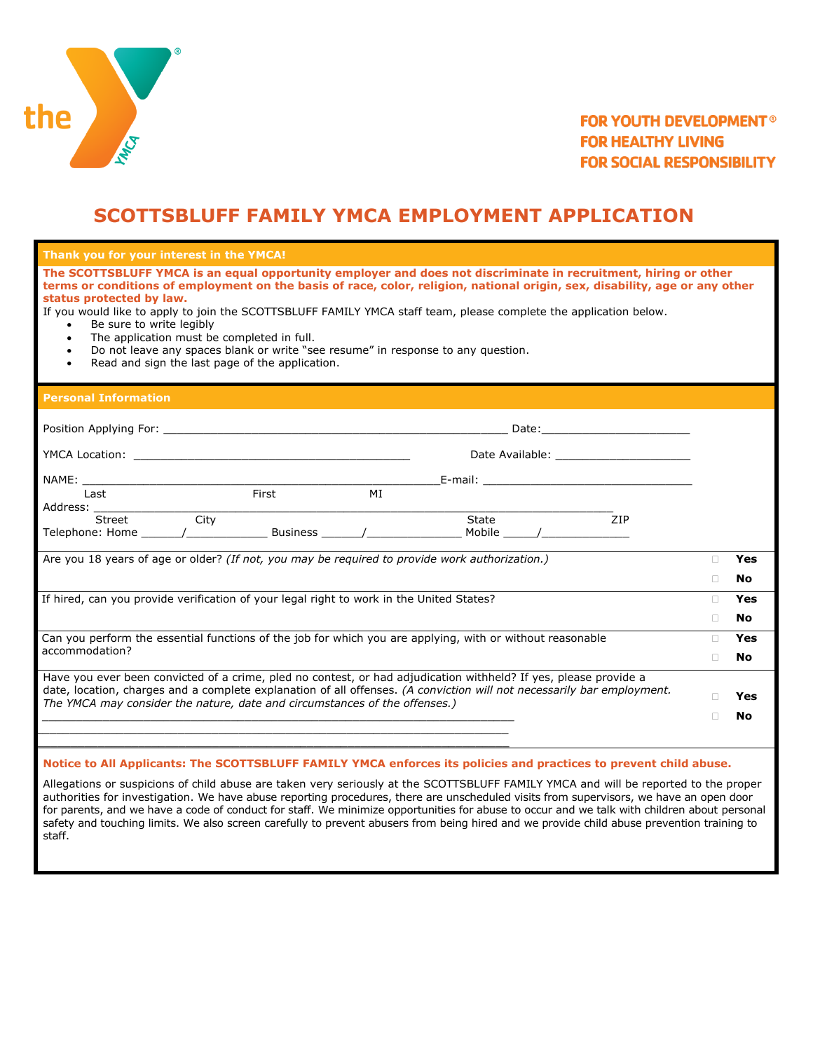

# **SCOTTSBLUFF FAMILY YMCA EMPLOYMENT APPLICATION**

#### **Thank you for your interest in the YMCA!**

**The SCOTTSBLUFF YMCA is an equal opportunity employer and does not discriminate in recruitment, hiring or other terms or conditions of employment on the basis of race, color, religion, national origin, sex, disability, age or any other status protected by law.** 

If you would like to apply to join the SCOTTSBLUFF FAMILY YMCA staff team, please complete the application below.

- Be sure to write legibly
- The application must be completed in full.
- Do not leave any spaces blank or write "see resume" in response to any question.
- Read and sign the last page of the application.

#### **Personal Information**

| Last                                                                                                                                                                                                                                                                                                                     |      | First | MI |       |  |            |           |           |
|--------------------------------------------------------------------------------------------------------------------------------------------------------------------------------------------------------------------------------------------------------------------------------------------------------------------------|------|-------|----|-------|--|------------|-----------|-----------|
| Street                                                                                                                                                                                                                                                                                                                   | City |       |    | State |  | <b>ZIP</b> |           |           |
|                                                                                                                                                                                                                                                                                                                          |      |       |    |       |  |            |           |           |
| Are you 18 years of age or older? (If not, you may be required to provide work authorization.)                                                                                                                                                                                                                           |      |       |    |       |  |            | п         | Yes<br>No |
| If hired, can you provide verification of your legal right to work in the United States?                                                                                                                                                                                                                                 |      |       |    |       |  |            | ш         | Yes       |
|                                                                                                                                                                                                                                                                                                                          |      |       |    |       |  |            |           | No        |
| Can you perform the essential functions of the job for which you are applying, with or without reasonable                                                                                                                                                                                                                |      |       |    |       |  |            |           | Yes       |
| accommodation?                                                                                                                                                                                                                                                                                                           |      |       |    |       |  |            |           | No        |
| Have you ever been convicted of a crime, pled no contest, or had adjudication withheld? If yes, please provide a<br>date, location, charges and a complete explanation of all offenses. (A conviction will not necessarily bar employment.<br>The YMCA may consider the nature, date and circumstances of the offenses.) |      |       |    |       |  |            | Yes<br>No |           |
|                                                                                                                                                                                                                                                                                                                          |      |       |    |       |  |            |           |           |

### **Notice to All Applicants: The SCOTTSBLUFF FAMILY YMCA enforces its policies and practices to prevent child abuse.**

Allegations or suspicions of child abuse are taken very seriously at the SCOTTSBLUFF FAMILY YMCA and will be reported to the proper authorities for investigation. We have abuse reporting procedures, there are unscheduled visits from supervisors, we have an open door for parents, and we have a code of conduct for staff. We minimize opportunities for abuse to occur and we talk with children about personal safety and touching limits. We also screen carefully to prevent abusers from being hired and we provide child abuse prevention training to staff.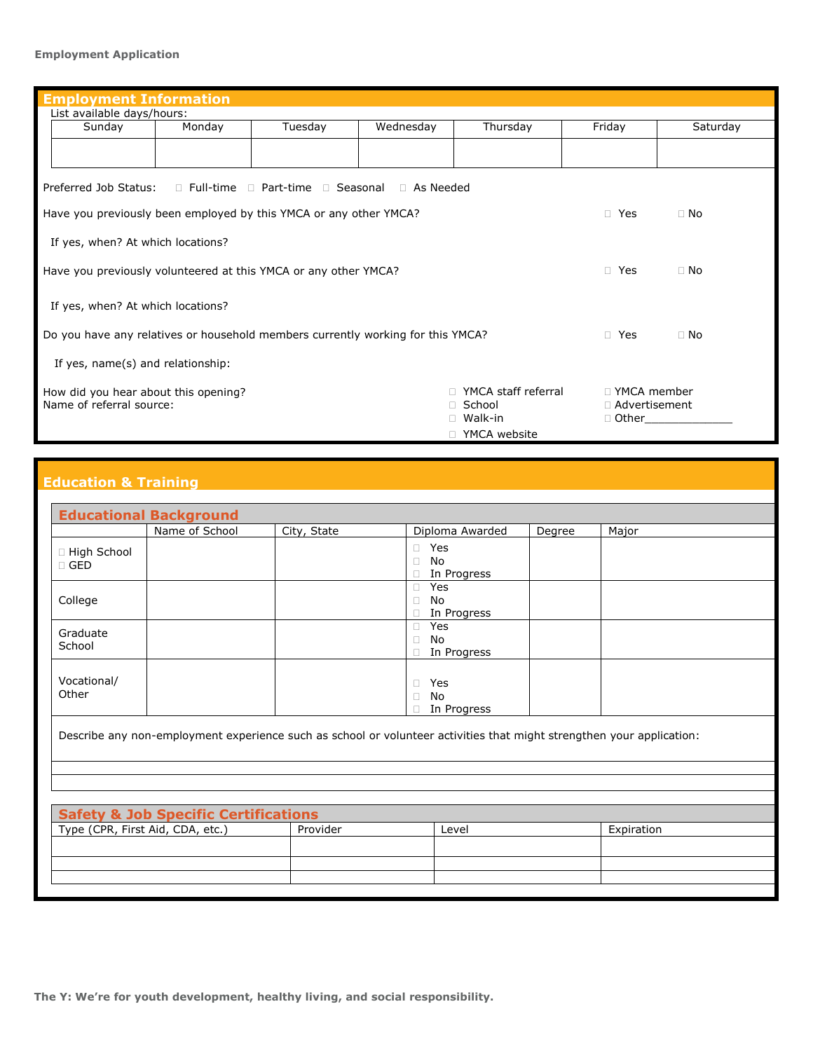#### **Employment Application**

| <b>Employment Information</b>                                                                         |        |         |           |          |        |          |  |
|-------------------------------------------------------------------------------------------------------|--------|---------|-----------|----------|--------|----------|--|
| List available days/hours:                                                                            |        |         |           |          |        |          |  |
| Sunday                                                                                                | Monday | Tuesday | Wednesday | Thursday | Friday | Saturday |  |
|                                                                                                       |        |         |           |          |        |          |  |
| Preferred Job Status:<br>$\Box$ Full-time $\Box$ Part-time $\Box$ Seasonal $\Box$ As Needed           |        |         |           |          |        |          |  |
| Have you previously been employed by this YMCA or any other YMCA?<br>□ Yes<br>$\Box$ No               |        |         |           |          |        |          |  |
| If yes, when? At which locations?                                                                     |        |         |           |          |        |          |  |
| Have you previously volunteered at this YMCA or any other YMCA?<br>$\Box$ No<br>□ Yes                 |        |         |           |          |        |          |  |
| If yes, when? At which locations?                                                                     |        |         |           |          |        |          |  |
| Do you have any relatives or household members currently working for this YMCA?<br>□ Yes<br>$\Box$ No |        |         |           |          |        |          |  |
| If yes, name(s) and relationship:                                                                     |        |         |           |          |        |          |  |
| YMCA staff referral<br>□ YMCA member<br>How did you hear about this opening?                          |        |         |           |          |        |          |  |
| Name of referral source:<br>□ School<br>□ Advertisement<br>Walk-in<br>$\Box$ Other                    |        |         |           |          |        |          |  |
| YMCA website                                                                                          |        |         |           |          |        |          |  |

# **Education & Training**

| Name of School | City, State | Diploma Awarded | Degree                         | Major |
|----------------|-------------|-----------------|--------------------------------|-------|
|                |             | Yes<br>$\Box$   |                                |       |
|                |             | No<br>$\Box$    |                                |       |
|                |             | In Progress     |                                |       |
|                |             | Yes             |                                |       |
|                |             | No              |                                |       |
|                |             | In Progress     |                                |       |
|                |             | Yes<br>$\Box$   |                                |       |
|                |             | No<br>$\Box$    |                                |       |
|                |             | In Progress     |                                |       |
|                |             |                 |                                |       |
|                |             |                 |                                |       |
|                |             |                 |                                |       |
|                |             | In Progress     |                                |       |
|                |             |                 | Yes<br>$\Box$<br>No.<br>$\Box$ |       |

| <b>Safety &amp; Job Specific Certifications</b> |          |       |            |  |  |
|-------------------------------------------------|----------|-------|------------|--|--|
| Type (CPR, First Aid, CDA, etc.)                | Provider | Level | Expiration |  |  |
|                                                 |          |       |            |  |  |
|                                                 |          |       |            |  |  |
|                                                 |          |       |            |  |  |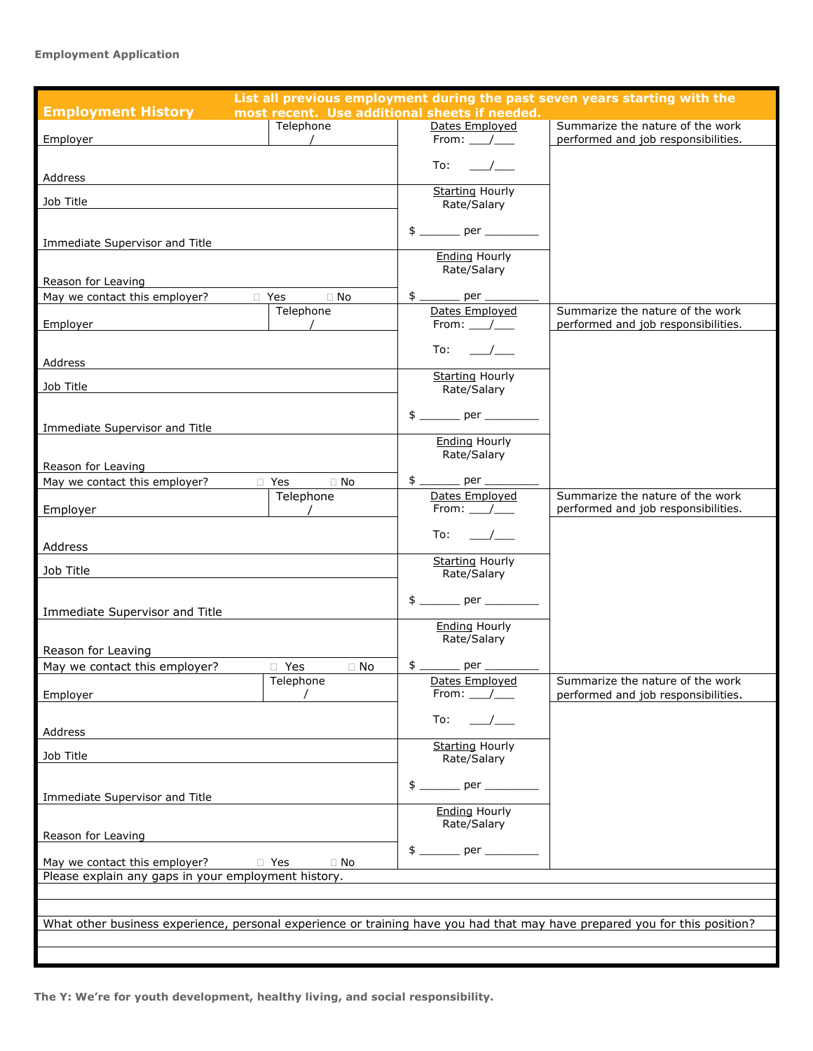### **Employment Application**

| List all previous employment during the past seven years starting with the                                                 |                          |                                               |                                     |  |
|----------------------------------------------------------------------------------------------------------------------------|--------------------------|-----------------------------------------------|-------------------------------------|--|
| <b>Employment History</b>                                                                                                  |                          | most recent. Use additional sheets if needed. |                                     |  |
|                                                                                                                            | Telephone                | Dates Employed                                | Summarize the nature of the work    |  |
| Employer                                                                                                                   | $\overline{\phantom{a}}$ | From: $\_\_\_\_\_\_\_\$                       | performed and job responsibilities. |  |
|                                                                                                                            |                          |                                               |                                     |  |
|                                                                                                                            |                          | To:                                           |                                     |  |
| Address                                                                                                                    |                          |                                               |                                     |  |
|                                                                                                                            |                          | <b>Starting Hourly</b>                        |                                     |  |
| Job Title                                                                                                                  |                          | Rate/Salary                                   |                                     |  |
|                                                                                                                            |                          |                                               |                                     |  |
| Immediate Supervisor and Title                                                                                             |                          |                                               |                                     |  |
|                                                                                                                            |                          | <b>Ending Hourly</b>                          |                                     |  |
|                                                                                                                            |                          | Rate/Salary                                   |                                     |  |
| Reason for Leaving                                                                                                         |                          |                                               |                                     |  |
| May we contact this employer?                                                                                              | □ Yes<br>$\Box$ No       | $$$ ________ per ______                       |                                     |  |
|                                                                                                                            | Telephone                | Dates Employed                                | Summarize the nature of the work    |  |
| Employer                                                                                                                   |                          | From: $\_\_\_\_\_\_\_\$                       | performed and job responsibilities. |  |
|                                                                                                                            |                          |                                               |                                     |  |
|                                                                                                                            |                          | To:<br>$\overline{\phantom{a}}$               |                                     |  |
| Address                                                                                                                    |                          |                                               |                                     |  |
|                                                                                                                            |                          | <b>Starting Hourly</b>                        |                                     |  |
| Job Title                                                                                                                  |                          | Rate/Salary                                   |                                     |  |
|                                                                                                                            |                          |                                               |                                     |  |
|                                                                                                                            |                          |                                               |                                     |  |
| Immediate Supervisor and Title                                                                                             |                          | <b>Ending Hourly</b>                          |                                     |  |
|                                                                                                                            |                          | Rate/Salary                                   |                                     |  |
| Reason for Leaving                                                                                                         |                          |                                               |                                     |  |
| May we contact this employer?                                                                                              | □ Yes<br>$\Box$ No       | $$$ _________ per ______                      |                                     |  |
|                                                                                                                            | Telephone                | Dates Employed                                | Summarize the nature of the work    |  |
| Employer                                                                                                                   |                          | From: /                                       | performed and job responsibilities. |  |
|                                                                                                                            |                          |                                               |                                     |  |
|                                                                                                                            |                          | To:                                           |                                     |  |
| Address                                                                                                                    |                          |                                               |                                     |  |
|                                                                                                                            |                          | <b>Starting Hourly</b>                        |                                     |  |
| Job Title                                                                                                                  |                          | Rate/Salary                                   |                                     |  |
|                                                                                                                            |                          |                                               |                                     |  |
| Immediate Supervisor and Title                                                                                             |                          |                                               |                                     |  |
|                                                                                                                            |                          | <b>Ending Hourly</b>                          |                                     |  |
|                                                                                                                            |                          | Rate/Salary                                   |                                     |  |
| Reason for Leaving                                                                                                         |                          |                                               |                                     |  |
| May we contact this employer?                                                                                              | $\Box$ Yes<br>$\Box$ No  | $$$ _________ per __                          |                                     |  |
|                                                                                                                            | Telephone                | Dates Employed                                | Summarize the nature of the work    |  |
| Employer                                                                                                                   |                          | From: /                                       | performed and job responsibilities. |  |
|                                                                                                                            |                          |                                               |                                     |  |
|                                                                                                                            |                          | To:                                           |                                     |  |
| Address                                                                                                                    |                          |                                               |                                     |  |
| Job Title                                                                                                                  |                          | <b>Starting Hourly</b>                        |                                     |  |
|                                                                                                                            |                          | Rate/Salary                                   |                                     |  |
|                                                                                                                            |                          |                                               |                                     |  |
| Immediate Supervisor and Title                                                                                             |                          |                                               |                                     |  |
|                                                                                                                            |                          | <b>Ending Hourly</b>                          |                                     |  |
|                                                                                                                            |                          | Rate/Salary                                   |                                     |  |
| Reason for Leaving                                                                                                         |                          |                                               |                                     |  |
|                                                                                                                            |                          |                                               |                                     |  |
| May we contact this employer?                                                                                              | □ Yes<br>$\Box$ No       |                                               |                                     |  |
| Please explain any gaps in your employment history.                                                                        |                          |                                               |                                     |  |
|                                                                                                                            |                          |                                               |                                     |  |
|                                                                                                                            |                          |                                               |                                     |  |
| What other business experience, personal experience or training have you had that may have prepared you for this position? |                          |                                               |                                     |  |
|                                                                                                                            |                          |                                               |                                     |  |
|                                                                                                                            |                          |                                               |                                     |  |
|                                                                                                                            |                          |                                               |                                     |  |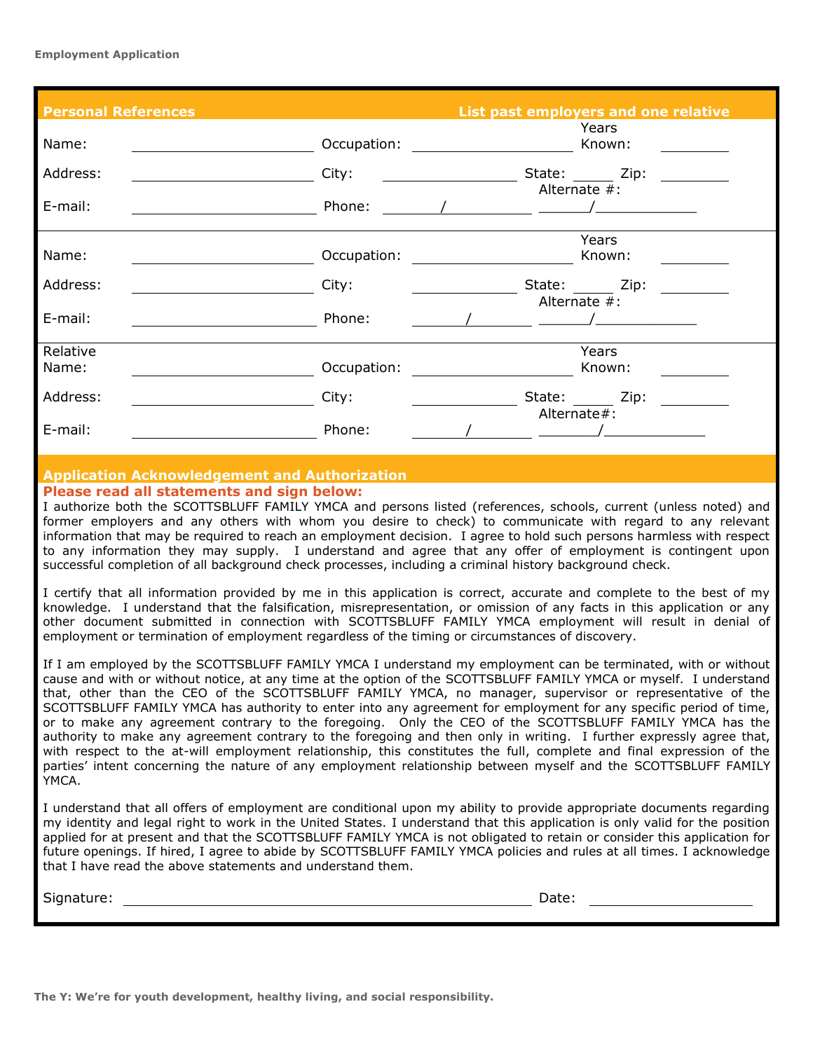| <b>Personal References</b> |             | List past employers and one relative |
|----------------------------|-------------|--------------------------------------|
| Name:                      | Occupation: | Years<br>Known:                      |
| Address:                   | City:       | State: Zip:                          |
| E-mail:                    | Phone:      | Alternate $#$ :                      |
| Name:                      | Occupation: | Years<br>Known:                      |
| Address:                   | City:       | State: Zip:<br>Alternate #:          |
| E-mail:                    | Phone:      |                                      |
| Relative<br>Name:          | Occupation: | Years<br>Known:                      |
| Address:                   | City:       | State: Zip:                          |
| E-mail:                    | Phone:      | Alternate#:                          |

#### **Application Acknowledgement and Authorization Please read all statements and sign below:**

I authorize both the SCOTTSBLUFF FAMILY YMCA and persons listed (references, schools, current (unless noted) and former employers and any others with whom you desire to check) to communicate with regard to any relevant information that may be required to reach an employment decision. I agree to hold such persons harmless with respect to any information they may supply. I understand and agree that any offer of employment is contingent upon successful completion of all background check processes, including a criminal history background check.

I certify that all information provided by me in this application is correct, accurate and complete to the best of my knowledge. I understand that the falsification, misrepresentation, or omission of any facts in this application or any other document submitted in connection with SCOTTSBLUFF FAMILY YMCA employment will result in denial of employment or termination of employment regardless of the timing or circumstances of discovery.

If I am employed by the SCOTTSBLUFF FAMILY YMCA I understand my employment can be terminated, with or without cause and with or without notice, at any time at the option of the SCOTTSBLUFF FAMILY YMCA or myself. I understand that, other than the CEO of the SCOTTSBLUFF FAMILY YMCA, no manager, supervisor or representative of the SCOTTSBLUFF FAMILY YMCA has authority to enter into any agreement for employment for any specific period of time, or to make any agreement contrary to the foregoing. Only the CEO of the SCOTTSBLUFF FAMILY YMCA has the authority to make any agreement contrary to the foregoing and then only in writing. I further expressly agree that, with respect to the at-will employment relationship, this constitutes the full, complete and final expression of the parties' intent concerning the nature of any employment relationship between myself and the SCOTTSBLUFF FAMILY YMCA.

I understand that all offers of employment are conditional upon my ability to provide appropriate documents regarding my identity and legal right to work in the United States. I understand that this application is only valid for the position applied for at present and that the SCOTTSBLUFF FAMILY YMCA is not obligated to retain or consider this application for future openings. If hired, I agree to abide by SCOTTSBLUFF FAMILY YMCA policies and rules at all times. I acknowledge that I have read the above statements and understand them.

Signature: Date:

**The Y: We're for youth development, healthy living, and social responsibility.**